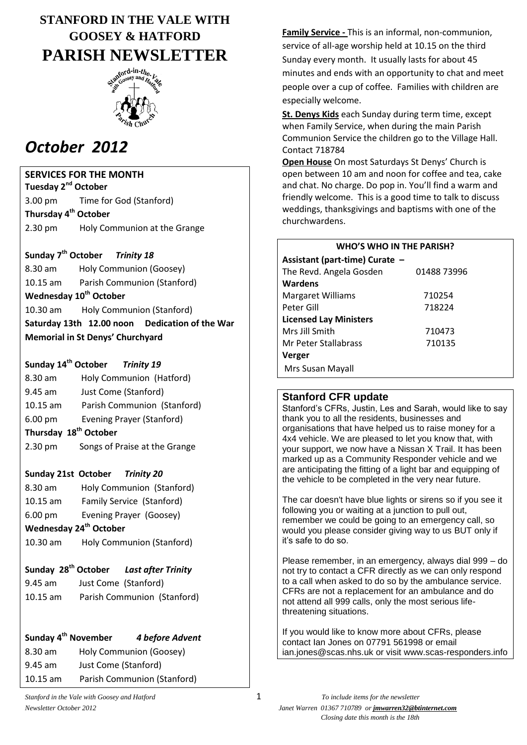# **STANFORD IN THE VALE WITH GOOSEY & HATFORD PARISH NEWSLETTER**



# *October 2012*

## **SERVICES FOR THE MONTH**

**Tuesday 2nd October** 3.00 pm Time for God (Stanford) **Thursday 4 th October** 2.30 pm Holy Communion at the Grange

## **Sunday 7 th October** *Trinity 18*

8.30 am Holy Communion (Goosey) 10.15 am Parish Communion (Stanford) **Wednesday 10th October** 10.30 am Holy Communion (Stanford) **Saturday 13th 12.00 noon Dedication of the War Memorial in St Denys' Churchyard**

## **Sunday 14th October** *Trinity 19*

- 8.30 am Holy Communion (Hatford) 9.45 am Just Come (Stanford) 10.15 am Parish Communion (Stanford) 6.00 pm Evening Prayer (Stanford) **Thursday 18th October**
- 2.30 pm Songs of Praise at the Grange

## **Sunday 21st October** *Trinity 20*

8.30 am Holy Communion (Stanford) 10.15 am Family Service (Stanford) 6.00 pm Evening Prayer (Goosey)

# **Wednesday 24th October**

10.30 am Holy Communion (Stanford)

# **Sunday 28th October** *Last after Trinity*

9.45 am Just Come (Stanford) 10.15 am Parish Communion (Stanford)

# **Sunday 4th November** *4 before Advent*

8.30 am Holy Communion (Goosey) 9.45 am Just Come (Stanford) 10.15 am Parish Communion (Stanford) **Family Service -** This is an informal, non-communion, service of all-age worship held at 10.15 on the third Sunday every month. It usually lasts for about 45 minutes and ends with an opportunity to chat and meet people over a cup of coffee. Families with children are especially welcome.

**St. Denys Kids** each Sunday during term time, except when Family Service, when during the main Parish Communion Service the children go to the Village Hall. Contact 718784

**Open House** On most Saturdays St Denys' Church is open between 10 am and noon for coffee and tea, cake and chat. No charge. Do pop in. You'll find a warm and friendly welcome. This is a good time to talk to discuss weddings, thanksgivings and baptisms with one of the churchwardens.

| <b>WHO'S WHO IN THE PARISH?</b> |             |  |
|---------------------------------|-------------|--|
| Assistant (part-time) Curate -  |             |  |
| The Revd. Angela Gosden         | 01488 73996 |  |
| Wardens                         |             |  |
| <b>Margaret Williams</b>        | 710254      |  |
| Peter Gill                      | 718224      |  |
| <b>Licensed Lay Ministers</b>   |             |  |
| Mrs Jill Smith                  | 710473      |  |
| Mr Peter Stallabrass            | 710135      |  |
| Verger                          |             |  |
| Mrs Susan Mayall                |             |  |

## **Stanford CFR update**

Stanford's CFRs, Justin, Les and Sarah, would like to say thank you to all the residents, businesses and organisations that have helped us to raise money for a 4x4 vehicle. We are pleased to let you know that, with your support, we now have a Nissan X Trail. It has been marked up as a Community Responder vehicle and we are anticipating the fitting of a light bar and equipping of the vehicle to be completed in the very near future.

The car doesn't have blue lights or sirens so if you see it following you or waiting at a junction to pull out, remember we could be going to an emergency call, so would you please consider giving way to us BUT only if it's safe to do so.

Please remember, in an emergency, always dial 999 – do not try to contact a CFR directly as we can only respond to a call when asked to do so by the ambulance service. CFRs are not a replacement for an ambulance and do not attend all 999 calls, only the most serious lifethreatening situations.

If you would like to know more about CFRs, please contact Ian Jones on 07791 561998 or email ian.jones@scas.nhs.uk or visit [www.scas-responders.info](http://www.scas-responders.info/)

*Newsletter October 2012 Janet Warren 01367 710789 or jmwarren32@btinternet.com Closing date this month is the 18th*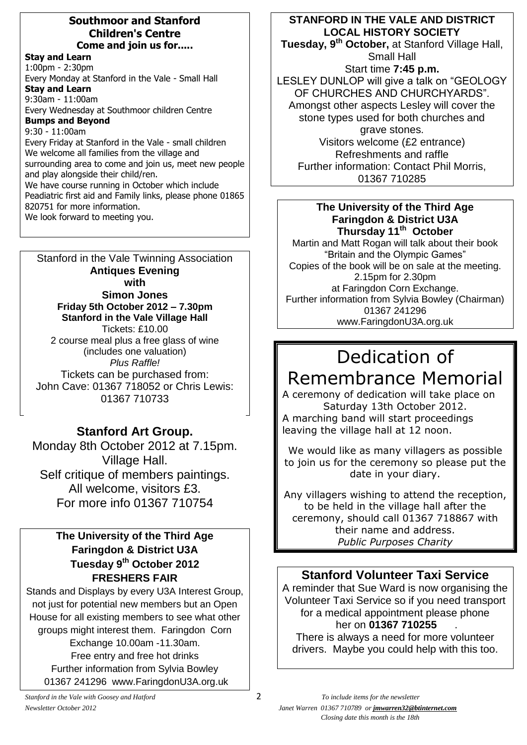#### **Southmoor and Stanford Children's Centre Come and join us for.....**

**Stay and Learn** 1:00pm - 2:30pm Every Monday at Stanford in the Vale - Small Hall **Stay and Learn** 9:30am - 11:00am Every Wednesday at Southmoor children Centre **Bumps and Beyond** 9:30 - 11:00am Every Friday at Stanford in the Vale - small children We welcome all families from the village and surrounding area to come and join us, meet new people and play alongside their child/ren. We have course running in October which include Peadiatric first aid and Family links, please phone 01865

820751 for more information.

We look forward to meeting you.

Stanford in the Vale Twinning Association **Antiques Evening with Simon Jones Friday 5th October 2012 – 7.30pm Stanford in the Vale Village Hall** Tickets: £10.00 2 course meal plus a free glass of wine (includes one valuation) *Plus Raffle!* Tickets can be purchased from: John Cave: 01367 718052 or Chris Lewis: 01367 710733

# **Stanford Art Group.**

Monday 8th October 2012 at 7.15pm. Village Hall. Self critique of members paintings. All welcome, visitors £3. For more info 01367 710754

# **The University of the Third Age Faringdon & District U3A Tuesday 9th October 2012 FRESHERS FAIR**

Stands and Displays by every U3A Interest Group, not just for potential new members but an Open House for all existing members to see what other groups might interest them. Faringdon Corn Exchange 10.00am -11.30am. Free entry and free hot drinks Further information from Sylvia Bowley 01367 241296 www.FaringdonU3A.org.uk

# **STANFORD IN THE VALE AND DISTRICT LOCAL HISTORY SOCIETY**

**Tuesday, 9 th October,** at Stanford Village Hall, Small Hall

Start time **7:45 p.m.** LESLEY DUNLOP will give a talk on "GEOLOGY OF CHURCHES AND CHURCHYARDS". Amongst other aspects Lesley will cover the stone types used for both churches and grave stones. Visitors welcome (£2 entrance) Refreshments and raffle Further information: Contact Phil Morris, 01367 710285

## **The University of the Third Age Faringdon & District U3A Thursday 11th October**

Martin and Matt Rogan will talk about their book "Britain and the Olympic Games" Copies of the book will be on sale at the meeting. 2.15pm for 2.30pm at Faringdon Corn Exchange. Further information from Sylvia Bowley (Chairman) 01367 241296 www.FaringdonU3A.org.uk

# Dedication of Remembrance Memorial

A ceremony of dedication will take place on Saturday 13th October 2012. A marching band will start proceedings leaving the village hall at 12 noon.

We would like as many villagers as possible to join us for the ceremony so please put the date in your diary.

Any villagers wishing to attend the reception, to be held in the village hall after the ceremony, should call 01367 718867 with their name and address. *Public Purposes Charity*

# **Stanford Volunteer Taxi Service**

A reminder that Sue Ward is now organising the Volunteer Taxi Service so if you need transport for a medical appointment please phone her on **01367 710255** .

There is always a need for more volunteer drivers. Maybe you could help with this too.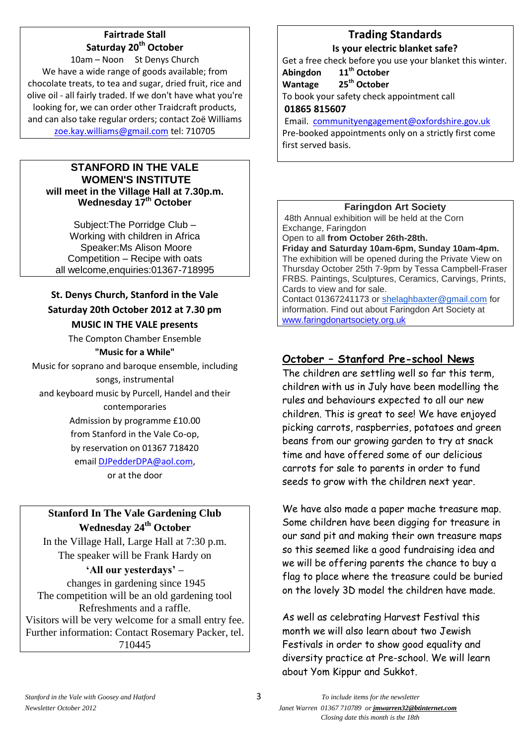# **Fairtrade Stall Saturday 20th October**

10am – Noon St Denys Church We have a wide range of goods available; from chocolate treats, to tea and sugar, dried fruit, rice and olive oil - all fairly traded. If we don't have what you're looking for, we can order other Traidcraft products, and can also take regular orders; contact Zoë Williams [zoe.kay.williams@gmail.com](mailto:zoe.kay.williams@gmail.com) tel: 710705

#### **STANFORD IN THE VALE WOMEN'S INSTITUTE will meet in the Village Hall at 7.30p.m. Wednesday 17th October**

Subject:The Porridge Club – Working with children in Africa Speaker:Ms Alison Moore Competition – Recipe with oats all welcome,enquiries:01367-718995

## **St. Denys Church, Stanford in the Vale Saturday 20th October 2012 at 7.30 pm MUSIC IN THE VALE presents**

The Compton Chamber Ensemble

## **"Music for a While"**

Music for soprano and baroque ensemble, including songs, instrumental and keyboard music by Purcell, Handel and their contemporaries Admission by programme £10.00 from Stanford in the Vale Co-op, by reservation on 01367 718420 emai[l DJPedderDPA@aol.com,](mailto:DJPedderDPA@aol.com)

or at the door

# **Stanford In The Vale Gardening Club Wednesday 24th October**

In the Village Hall, Large Hall at 7:30 p.m. The speaker will be Frank Hardy on

# **'All our yesterdays' –**

changes in gardening since 1945 The competition will be an old gardening tool Refreshments and a raffle. Visitors will be very welcome for a small entry fee. Further information: Contact Rosemary Packer, tel. 710445

## **Trading Standards Is your electric blanket safe?**

Get a free check before you use your blanket this winter.

#### **Abingdon 11th October Wantage 25th October**

To book your safety check appointment call

#### **01865 815607**

Email. [communityengagement@oxfordshire.gov.uk](mailto:communityengagement@oxfordshire.gov.uk)

Pre-booked appointments only on a strictly first come first served basis.

## **Faringdon Art Society**

48th Annual exhibition will be held at the Corn Exchange, Faringdon

## Open to all **from October 26th-28th.**

**Friday and Saturday 10am-6pm, Sunday 10am-4pm.** The exhibition will be opened during the Private View on Thursday October 25th 7-9pm by Tessa Campbell-Fraser FRBS. Paintings, Sculptures, Ceramics, Carvings, Prints, Cards to view and for sale.

Contact 01367241173 or [shelaghbaxter@gmail.com](mailto:shelaghbaxter@gmail.com) for information. Find out about Faringdon Art Society at [www.faringdonartsociety.org.uk](http://www.faringdonartsociety.org.uk/)

# **October – Stanford Pre-school News**

The children are settling well so far this term, children with us in July have been modelling the rules and behaviours expected to all our new children. This is great to see! We have enjoyed picking carrots, raspberries, potatoes and green beans from our growing garden to try at snack time and have offered some of our delicious carrots for sale to parents in order to fund seeds to grow with the children next year.

We have also made a paper mache treasure map. Some children have been digging for treasure in our sand pit and making their own treasure maps so this seemed like a good fundraising idea and we will be offering parents the chance to buy a flag to place where the treasure could be buried on the lovely 3D model the children have made.

As well as celebrating Harvest Festival this month we will also learn about two Jewish Festivals in order to show good equality and diversity practice at Pre-school. We will learn about Yom Kippur and Sukkot.